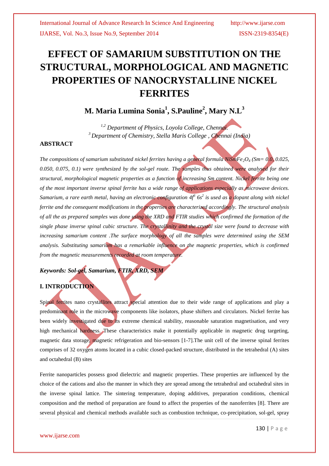# **EFFECT OF SAMARIUM SUBSTITUTION ON THE STRUCTURAL, MORPHOLOGICAL AND MAGNETIC PROPERTIES OF NANOCRYSTALLINE NICKEL FERRITES**

# **M. Maria Lumina Sonia<sup>1</sup> , S.Pauline<sup>2</sup> , Mary N.L<sup>3</sup>**

*1,2 Department of Physics, Loyola College, Chennai. <sup>3</sup>Department of Chemistry, Stella Maris College , Chennai (India)*

### **ABSTRACT**

*The compositions of samarium substituted nickel ferrites having a general formula NiSmFe2O<sup>4</sup> (Sm= 0.0, 0.025, 0.050, 0.075, 0.1) were synthesized by the sol-gel route. The samples thus obtained were analysed for their structural, morphological magnetic properties as a function of increasing Sm content. Nickel ferrite being one of the most important inverse spinal ferrite has a wide range of applications especially as microwave devices. Samarium, a rare earth metal, having an electronic configuration 4f<sup>6</sup> 6s<sup>2</sup> is used as a dopant along with nickel ferrite and the consequent modifications in the properties are characterized accordingly. The structural analysis of all the as prepared samples was done using the XRD and FTIR studies which confirmed the formation of the single phase inverse spinal cubic structure. The crystallinity and the crystal size were found to decrease with increasing samarium content .The surface morphology of all the samples were determined using the SEM analysis. Substituting samarium has a remarkable influence on the magnetic properties, which is confirmed from the magnetic measurements recorded at room temperature.*

*Keywords: Sol-gel, Samarium, FTIR, XRD, SEM*

### **I. INTRODUCTION**

Spinal ferrites nano crystallites attract special attention due to their wide range of applications and play a predominant role in the microwave components like isolators, phase shifters and circulators. Nickel ferrite has been widely investigated due to its extreme chemical stability, reasonable saturation magnetisation, and very high mechanical hardness. These characteristics make it potentially applicable in magnetic drug targeting, magnetic data storage, magnetic refrigeration and bio-sensors [1-7].The unit cell of the inverse spinal ferrites comprises of 32 oxygen atoms located in a cubic closed-packed structure, distributed in the tetrahedral (A) sites and octahedral (B) sites

Ferrite nanoparticles possess good dielectric and magnetic properties. These properties are influenced by the choice of the cations and also the manner in which they are spread among the tetrahedral and octahedral sites in the inverse spinal lattice. The sintering temperature, doping additives, preparation conditions, chemical composition and the method of preparation are found to affect the properties of the nanoferrites [8]. There are several physical and chemical methods available such as combustion technique, co-precipitation, sol-gel, spray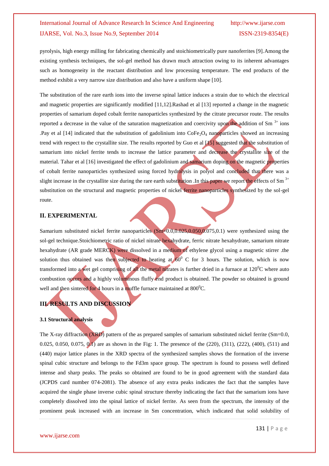pyrolysis, high energy milling for fabricating chemically and stoichiometrically pure nanoferrites [9].Among the existing synthesis techniques, the sol-gel method has drawn much attraction owing to its inherent advantages such as homogeneity in the reactant distribution and low processing temperature. The end products of the method exhibit a very narrow size distribution and also have a uniform shape [10].

The substitution of the rare earth ions into the inverse spinal lattice induces a strain due to which the electrical and magnetic properties are significantly modified [11,12].Rashad et al [13] reported a change in the magnetic properties of samarium doped cobalt ferrite nanoparticles synthesized by the citrate precursor route. The results reported a decrease in the value of the saturation magnetization and coercivity upon the addition of Sm  $3+$  ions .Pay et al [14] indicated that the substitution of gadolinium into  $\text{CoFe}_2\text{O}_4$  nanoparticles showed an increasing trend with respect to the crystallite size. The results reported by Guo et al [15] suggested that the substitution of samarium into nickel ferrite tends to increase the lattice parameter and decrease the crystallite size of the material. Tahar et al [16] investigated the effect of gadolinium and samarium doping on the magnetic properties of cobalt ferrite nanoparticles synthesized using forced hydrolysis in polyol and concluded that there was a slight increase in the crystallite size during the rare earth substitution. In this paper we report the effects of  $Sm^{3+}$ substitution on the structural and magnetic properties of nickel ferrite nanoparticles synthesized by the sol-gel route.

#### **II. EXPERIMENTAL**

Samarium substituted nickel ferrite nanoparticles (Sm=0.0,0.025,0.050,0.075,0.1) were synthesized using the sol-gel technique.Stoichiometric ratio of nickel nitrate hexahydrate, ferric nitrate hexahydrate, samarium nitrate hexahydrate (AR grade MERCK) were dissolved in a medium of ethylene glycol using a magnetic stirrer .the solution thus obtained was then subjected to heating at  $60^{\circ}$  C for 3 hours. The solution, which is now transformed into a wet gel comprising of all the metal nitrates is further dried in a furnace at  $120^{\circ}$ C where auto combustion occurs and a highly voluminous fluffy end product is obtained. The powder so obtained is ground well and then sintered for 4 hours in a muffle furnace maintained at  $800^{\circ}$ C.

### **III. RESULTS AND DISCUSSION**

#### **3.1 Structural analysis**

The X-ray diffraction (XRD) pattern of the as prepared samples of samarium substituted nickel ferrite (Sm=0.0, 0.025, 0.050, 0.075, 0.1) are as shown in the Fig: 1. The presence of the (220), (311), (222), (400), (511) and (440) major lattice planes in the XRD spectra of the synthesized samples shows the formation of the inverse spinal cubic structure and belongs to the Fd3m space group. The spectrum is found to possess well defined intense and sharp peaks. The peaks so obtained are found to be in good agreement with the standard data (JCPDS card number 074-2081). The absence of any extra peaks indicates the fact that the samples have acquired the single phase inverse cubic spinal structure thereby indicating the fact that the samarium ions have completely dissolved into the spinal lattice of nickel ferrite. As seen from the spectrum, the intensity of the prominent peak increased with an increase in Sm concentration, which indicated that solid solubility of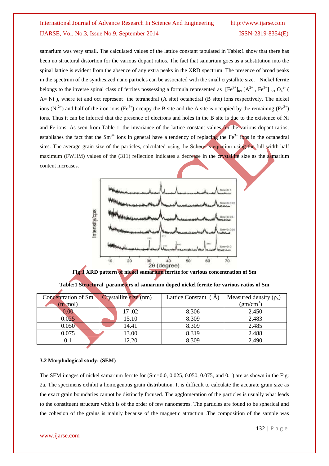samarium was very small. The calculated values of the lattice constant tabulated in Table:1 show that there has been no structural distortion for the various dopant ratios. The fact that samarium goes as a substitution into the spinal lattice is evident from the absence of any extra peaks in the XRD spectrum. The presence of broad peaks in the spectrum of the synthesized nano particles can be associated with the small crystallite size. Nickel ferrite belongs to the inverse spinal class of ferrites possessing a formula represented as  $[Fe^{3+}]_{\text{tet}}[A^{2+}, Fe^{3+}]_{\text{oct}}Q_4^{2-}$  ( A= Ni ), where tet and oct represent the tetrahedral (A site) octahedral (B site) ions respectively. The nickel ions (Ni<sup>2+</sup>) and half of the iron ions (Fe<sup>3+</sup>) occupy the B site and the A site is occupied by the remaining (Fe<sup>3+</sup>) ions. Thus it can be inferred that the presence of electrons and holes in the B site is due to the existence of Ni and Fe ions. As seen from Table 1, the invariance of the lattice constant values for the various dopant ratios, establishes the fact that the  $Sm^{3+}$  ions in general have a tendency of replacing the Fe<sup>3+</sup> ions in the octahedral sites. The average grain size of the particles, calculated using the Scherer's equation using the full width half maximum (FWHM) values of the (311) reflection indicates a decrease in the crystallite size as the samarium content increases.



| Concentration of Sm | Crystallite size (nm) | Lattice Constant (A) | Measured density $(\rho_x)$ |
|---------------------|-----------------------|----------------------|-----------------------------|
| $(m \mod)$          |                       |                      | (gm/cm <sup>3</sup> )       |
| 0.00                | 17.02                 | 8.306                | 2.450                       |
| 0.025               | 15.10                 | 8.309                | 2.483                       |
| 0.050               | 14.41                 | 8.309                | 2.485                       |
| 0.075               | 13.00                 | 8.319                | 2.488                       |
|                     | 12.20                 | 8.309                | 2.490                       |

**Table:1 Structural parameters of samarium doped nickel ferrite for various ratios of Sm**

### **3.2 Morphological study: (SEM)**

The SEM images of nickel samarium ferrite for (Sm=0.0, 0.025, 0.050, 0.075, and 0.1) are as shown in the Fig: 2a. The specimens exhibit a homogenous grain distribution. It is difficult to calculate the accurate grain size as the exact grain boundaries cannot be distinctly focused. The agglomeration of the particles is usually what leads to the constituent structure which is of the order of few nanometres. The particles are found to be spherical and the cohesion of the grains is mainly because of the magnetic attraction .The composition of the sample was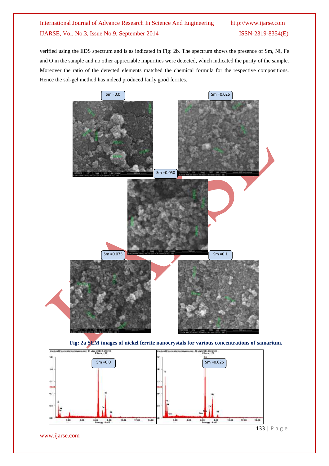verified using the EDS spectrum and is as indicated in Fig: 2b. The spectrum shows the presence of Sm, Ni, Fe and O in the sample and no other appreciable impurities were detected, which indicated the purity of the sample. Moreover the ratio of the detected elements matched the chemical formula for the respective compositions. Hence the sol-gel method has indeed produced fairly good ferrites.







www.ijarse.com

133 | P a g e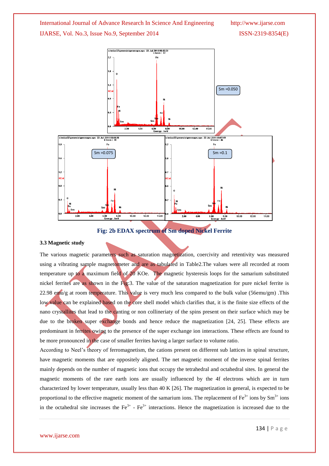



**Fig: 2b EDAX spectrum of Sm doped Nickel Ferrite**

#### **3.3 Magnetic study**

The various magnetic parameters such as saturation magnetization, coercivity and retentivity was measured using a vibrating sample magnetometer and are as tabulated in Table2.The values were all recorded at room temperature up to a maximum field of 20 KOe. The magnetic hysteresis loops for the samarium substituted nickel ferrites are as shown in the Fig:3. The value of the saturation magnetization for pure nickel ferrite is 22.98 emu/g at room temperature. This value is very much less compared to the bulk value (56emu/gm) .This low value can be explained based on the core shell model which clarifies that, it is the finite size effects of the nano crystallites that lead to the canting or non collineriaty of the spins present on their surface which may be due to the broken super exchange bonds and hence reduce the magnetization [24, 25]. These effects are predominant in ferrites owing to the presence of the super exchange ion interactions. These effects are found to be more pronounced in the case of smaller ferrites having a larger surface to volume ratio.

According to Neel's theory of ferromagnetism, the cations present on different sub lattices in spinal structure, have magnetic moments that are oppositely aligned. The net magnetic moment of the inverse spinal ferrites mainly depends on the number of magnetic ions that occupy the tetrahedral and octahedral sites. In general the magnetic moments of the rare earth ions are usually influenced by the 4f electrons which are in turn characterized by lower temperature, usually less than 40 K [26]. The magnetization in general, is expected to be proportional to the effective magnetic moment of the samarium ions. The replacement of  $Fe^{3+}$  ions by  $Sm^{3+}$  ions in the octahedral site increases the  $Fe^{3+}$  -  $Fe^{3+}$  interactions. Hence the magnetization is increased due to the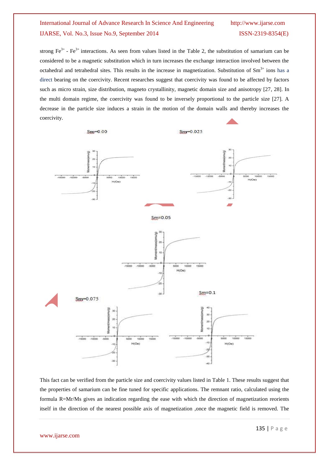strong  $Fe^{3+}$  -  $Fe^{3+}$  interactions. As seen from values listed in the Table 2, the substitution of samarium can be considered to be a magnetic substitution which in turn increases the exchange interaction involved between the octahedral and tetrahedral sites. This results in the increase in magnetization. Substitution of  $Sm^{3+}$  ions has a direct bearing on the coercivity. Recent researches suggest that coercivity was found to be affected by factors such as micro strain, size distribution, magneto crystallinity, magnetic domain size and anisotropy [27, 28]. In the multi domain regime, the coercivity was found to be inversely proportional to the particle size [27]. A decrease in the particle size induces a strain in the motion of the domain walls and thereby increases the coercivity.



This fact can be verified from the particle size and coercivity values listed in Table 1. These results suggest that the properties of samarium can be fine tuned for specific applications. The remnant ratio, calculated using the formula R=Mr/Ms gives an indication regarding the ease with which the direction of magnetization reorients itself in the direction of the nearest possible axis of magnetization ,once the magnetic field is removed. The

www.ijarse.com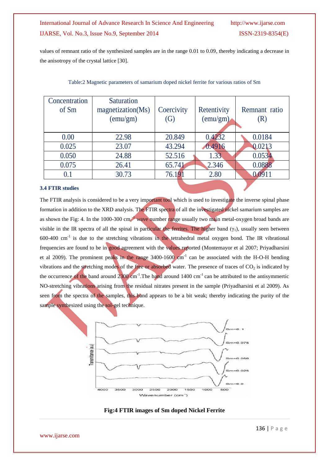values of remnant ratio of the synthesized samples are in the range 0.01 to 0.09, thereby indicating a decrease in the anisotropy of the crystal lattice [30].

| Concentration | Saturation        |                   |                   |               |
|---------------|-------------------|-------------------|-------------------|---------------|
| of Sm         | magnetization(Ms) | Coercivity        | Retentivity       | Remnant ratio |
|               | (emu/gm)          | $\left( G\right)$ | $(\text{emu/gm})$ | (R)           |
|               |                   |                   |                   |               |
| 0.00          | 22.98             | 20.849            | 0.4232            | 0.0184        |
| 0.025         | 23.07             | 43.294            | 0.4916            | 0.0213        |
| 0.050         | 24.88             | 52.516            | 1.33              | 0.0534        |
| 0.075         | 26.41             | 65.741            | 2.346             | 0.0888        |
| 0.1           | 30.73             | 76.191            | 2.80              |               |
|               |                   |                   |                   |               |

#### Table:2 Magnetic parameters of samarium doped nickel ferrite for various ratios of Sm

#### **3.4 FTIR studies**

The FTIR analysis is considered to be a very important tool which is used to investigate the inverse spinal phase formation in addition to the XRD analysis. The FTIR spectra of all the investigated nickel samarium samples are as shown the Fig: 4. In the 1000-300 cm -1 wave number range usually two main metal-oxygen broad bands are visible in the IR spectra of all the spinal in particular the ferrites. The higher band  $(\gamma_1)$ , usually seen between 600-400 cm<sup>-1</sup> is due to the stretching vibrations in the tetrahedral metal oxygen bond. The IR vibrational frequencies are found to be in good agreement with the values reported (Montemayor et al 2007; Priyadharsini et al 2009). The prominent peaks in the range  $3400-1600$  cm<sup>-1</sup> can be associated with the H-O-H bending vibrations and the stretching modes of the free or absorbed water. The presence of traces of  $CO<sub>2</sub>$  is indicated by the occurrence of the band around  $2300 \text{ cm}^{-1}$ . The band around 1400 cm<sup>-1</sup> can be attributed to the antisymmertic NO-stretching vibrations arising from the residual nitrates present in the sample (Priyadharsini et al 2009). As seen from the spectra of the samples, this band appears to be a bit weak; thereby indicating the purity of the sample synthesized using the sol-gel technique.





www.ijarse.com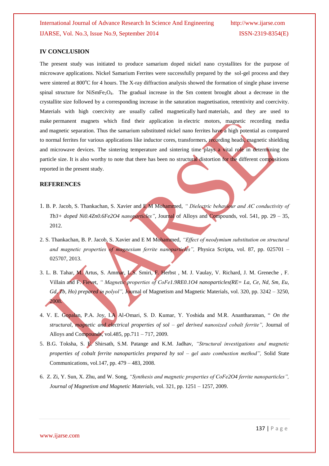#### **IV CONCLUSION**

The present study was initiated to produce samarium doped nickel nano crystallites for the purpose of microwave applications. Nickel Samarium Ferrites were successfully prepared by the sol-gel process and they were sintered at 800<sup>o</sup>C for 4 hours. The X-ray diffraction analysis showed the formation of single phase inverse spinal structure for  $NiSmFe<sub>2</sub>O<sub>4</sub>$ . The gradual increase in the Sm content brought about a decrease in the crystallite size followed by a corresponding increase in the saturation magnetisation, retentivity and coercivity. Materials with high coercivity are usually called magnetically hard materials, and they are used to make permanent magnets which find their application in electric motors, magnetic recording media and magnetic separation. Thus the samarium substituted nickel nano ferrites have a high potential as compared to normal ferrites for various applications like inductor cores, transformers, recording heads, magnetic shielding and microwave devices. The sintering temperature and sintering time plays a vital role in determining the particle size. It is also worthy to note that there has been no structural distortion for the different compositions reported in the present study.

#### **REFERENCES**

- 1. B. P. Jacob, S. Thankachan, S. Xavier and E M Mohammed, *" Dielectric behaviour and AC conductivity of Tb3+ doped Ni0.4Zn0.6Fe2O4 nanoparticles"*, Journal of Alloys and Compounds, vol. 541, pp. 29 – 35, 2012.
- 2. S. Thankachan, B. P. Jacob, S. Xavier and E M Mohammed, *"Effect of neodymium substitution on structural and magnetic properties of magnesium ferrite nanoparticles",* Physica Scripta, vol. 87, pp. 025701 – 025707, 2013.
- 3. L. B. Tahar, M. Artus, S. Ammar, L.S. Smiri, F. Herbst , M. J. Vaulay, V. Richard, J. M. Greneche , F. Villain and F. Fievet, *" Magnetic properties of CoFe1.9RE0.1O4 nanoparticles(RE= La, Ce, Nd, Sm, Eu, Gd, Tb, Ho) prepared in polyol",* Journal of Magnetism and Magnetic Materials, vol. 320, pp. 3242 – 3250, 2008.
- 4. V. E. Gopalan, P.A. Joy, I.A Al-Omari, S. D. Kumar, Y. Yoshida and M.R. Anantharaman, " *On the structural, magnetic and electrical properties of sol – gel derived nanosized cobalt ferrite",* Journal of Alloys and Compounds, vol.485, pp.711 – 717, 2009.
- 5. B.G. Toksha, S. E. Shirsath, S.M. Patange and K.M. Jadhav, *"Structural investigations and magnetic properties of cobalt ferrite nanoparticles prepared by sol – gel auto combustion method",* Solid State Communications, vol.147, pp. 479 – 483, 2008.
- 6. Z. Zi, Y. Sun, X. Zhu, and W. Song, *"Synthesis and magnetic properties of CoFe2O4 ferrite nanoparticles", Journal of Magnetism and Magnetic Materials*, vol. 321, pp. 1251 – 1257, 2009.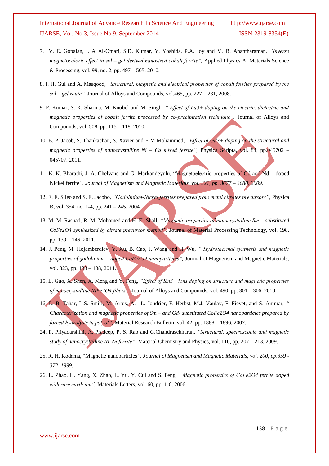- 7. V. E. Gopalan, I. A Al-Omari, S.D. Kumar, Y. Yoshida, P.A. Joy and M. R. Anantharaman, *"Inverse magnetocaloric effect in sol – gel derived nanosized cobalt ferrite",* Applied Physics A: Materials Science & Processing, vol. 99, no. 2, pp. 497 – 505, 2010.
- 8. I. H. Gul and A. Masqood, *"Structural, magnetic and electrical properties of cobalt ferrites prepared by the sol – gel route",* Journal of Alloys and Compounds, vol.465, pp. 227 – 231, 2008.
- 9. P. Kumar, S. K. Sharma, M. Knobel and M. Singh, *" Effect of La3+ doping on the electric, dielectric and magnetic properties of cobalt ferrite processed by co-precipitation technique",* Journal of Alloys and Compounds, vol. 508, pp. 115 – 118, 2010.
- 10. B. P. Jacob, S. Thankachan, S. Xavier and E M Mohammed, *"Effect of Gd3+ doping on the structural and magnetic properties of nanocrystalline Ni – Cd mixed ferrite",* Physica Scripta, vol. 84, pp.045702 – 045707, 2011.
- 11. K. K. Bharathi, J. A. Chelvane and G. Markandeyulu, "Magnetoelectric properties of Gd and Nd doped Nickel ferrite*", Journal of Magnetism and Magnetic Materials, vol. 321, pp. 3677 – 3680, 2009.*
- 12. E. E. Sileo and S. E. Jacobo, *"Gadolinium-Nickel ferrites prepared from metal citrates precursors"*, Physica B, vol. 354, no. 1-4, pp. 241 – 245, 2004.
- 13. M. M. Rashad, R. M. Mohamed and H. El-Shall, *"Magnetic properties of nanocrystalline Sm – substituted CoFe2O4 synthesized by citrate precursor method",* Journal of Material Processing Technology, vol. 198, pp. 139 – 146, 2011.
- 14. J. Peng, M. Hojamberdiev, Y. Xu, B. Cao, J. Wang and H. Wu, *" Hydrothermal synthesis and magnetic properties of gadolinium – doped CoFe2O4 nanoparticles",* Journal of Magnetism and Magnetic Materials, vol. 323, pp. 133 – 138, 2011.
- 15. L. Guo, X. Shen, X. Meng and Y. Feng, *"Effect of Sm3+ ions doping on structure and magnetic properties of nanocrystalline NiFe2O4 fibers",* Journal of Alloys and Compounds, vol. 490, pp. 301 – 306, 2010.
- 16. L. B. Tahar, L.S. Smiri, M. Artus, A. –L. Joudrier, F. Herbst, M.J. Vaulay, F. Fievet, and S. Ammar, *" Characterization and magnetic properties of Sm – and Gd- substituted CoFe2O4 nanoparticles prepared by forced hydrolysis in polyol",* Material Research Bulletin, vol. 42, pp. 1888 – 1896, 2007.
- 24. P. Priyadarshini, A. Pradeep, P. S. Rao and G.Chandrasekharan, *"Structural, spectroscopic and magnetic study of nanocrystalline Ni-Zn ferrite",* Material Chemistry and Physics, vol. 116, pp. 207 – 213, 2009.
- 25. R. H. Kodama, "Magnetic nanoparticles*", Journal of Magnetism and Magnetic Materials, vol. 200, pp.359 - 372, 1999.*
- 26. L. Zhao, H. Yang, X. Zhao, L. Yu, Y. Cui and S. Feng *" Magnetic properties of CoFe2O4 ferrite doped with rare earth ion",* Materials Letters, vol. 60, pp. 1-6, 2006.